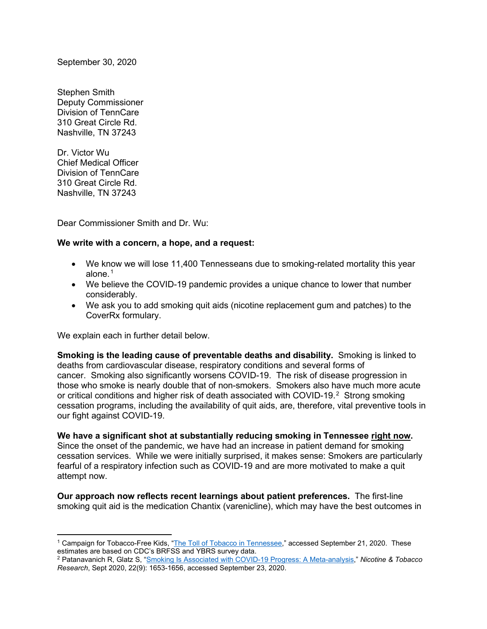September 30, 2020

Stephen Smith Deputy Commissioner Division of TennCare 310 Great Circle Rd. Nashville, TN 37243

Dr. Victor Wu Chief Medical Officer Division of TennCare 310 Great Circle Rd. Nashville, TN 37243

Dear Commissioner Smith and Dr. Wu:

## **We write with a concern, a hope, and a request:**

- We know we will lose 11,400 Tennesseans due to smoking-related mortality this year alone.<sup>[1](#page-0-0)</sup>
- We believe the COVID-19 pandemic provides a unique chance to lower that number considerably.
- We ask you to add smoking quit aids (nicotine replacement gum and patches) to the CoverRx formulary.

We explain each in further detail below.

**Smoking is the leading cause of preventable deaths and disability.** Smoking is linked to deaths from cardiovascular disease, respiratory conditions and several forms of cancer. Smoking also significantly worsens COVID-19. The risk of disease progression in those who smoke is nearly double that of non-smokers. Smokers also have much more acute or critical conditions and higher risk of death associated with COVID-19. [2](#page-0-1) Strong smoking cessation programs, including the availability of quit aids, are, therefore, vital preventive tools in our fight against COVID-19.

**We have a significant shot at substantially reducing smoking in Tennessee right now.**  Since the onset of the pandemic, we have had an increase in patient demand for smoking

cessation services. While we were initially surprised, it makes sense: Smokers are particularly fearful of a respiratory infection such as COVID-19 and are more motivated to make a quit attempt now.

**Our approach now reflects recent learnings about patient preferences.** The first-line smoking quit aid is the medication Chantix (varenicline), which may have the best outcomes in

<span id="page-0-0"></span><sup>1</sup> Campaign for Tobacco-Free Kids, ["The Toll of Tobacco in Tennessee,](https://www.tobaccofreekids.org/problem/toll-us/tennessee)" accessed September 21, 2020. These estimates are based on CDC's BRFSS and YBRS survey data.

<span id="page-0-1"></span><sup>2</sup> Patanavanich R, Glatz S, ["Smoking Is Associated with COVID-19 Progress: A Meta-analysis,](https://www.ucsf.edu/news/2020/05/417411/smoking-nearly-doubles-rate-covid-19-progression)" *Nicotine & Tobacco Research*, Sept 2020, 22(9): 1653-1656, accessed September 23, 2020.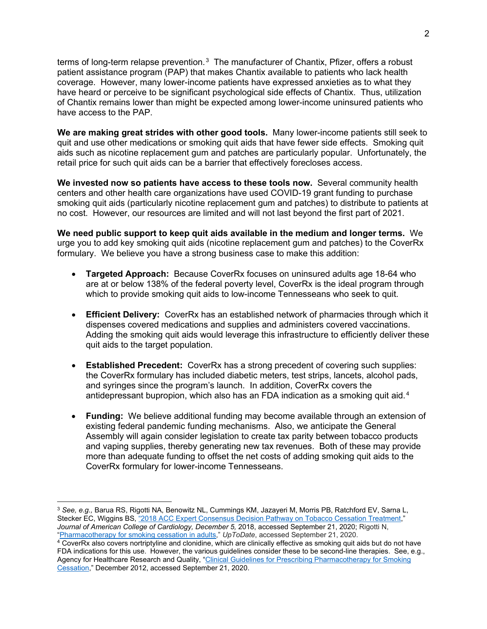terms of long-term relapse prevention. $^3$  $^3$  The manufacturer of Chantix, Pfizer, offers a robust patient assistance program (PAP) that makes Chantix available to patients who lack health coverage. However, many lower-income patients have expressed anxieties as to what they have heard or perceive to be significant psychological side effects of Chantix. Thus, utilization of Chantix remains lower than might be expected among lower-income uninsured patients who have access to the PAP.

**We are making great strides with other good tools.** Many lower-income patients still seek to quit and use other medications or smoking quit aids that have fewer side effects. Smoking quit aids such as nicotine replacement gum and patches are particularly popular. Unfortunately, the retail price for such quit aids can be a barrier that effectively forecloses access.

**We invested now so patients have access to these tools now.** Several community health centers and other health care organizations have used COVID-19 grant funding to purchase smoking quit aids (particularly nicotine replacement gum and patches) to distribute to patients at no cost. However, our resources are limited and will not last beyond the first part of 2021.

**We need public support to keep quit aids available in the medium and longer terms.** We urge you to add key smoking quit aids (nicotine replacement gum and patches) to the CoverRx formulary. We believe you have a strong business case to make this addition:

- **Targeted Approach:** Because CoverRx focuses on uninsured adults age 18-64 who are at or below 138% of the federal poverty level, CoverRx is the ideal program through which to provide smoking quit aids to low-income Tennesseans who seek to quit.
- **Efficient Delivery:** CoverRx has an established network of pharmacies through which it dispenses covered medications and supplies and administers covered vaccinations. Adding the smoking quit aids would leverage this infrastructure to efficiently deliver these quit aids to the target population.
- **Established Precedent:** CoverRx has a strong precedent of covering such supplies: the CoverRx formulary has included diabetic meters, test strips, lancets, alcohol pads, and syringes since the program's launch. In addition, CoverRx covers the antidepressant bupropion, which also has an FDA indication as a smoking quit aid. $4$
- **Funding:** We believe additional funding may become available through an extension of existing federal pandemic funding mechanisms. Also, we anticipate the General Assembly will again consider legislation to create tax parity between tobacco products and vaping supplies, thereby generating new tax revenues. Both of these may provide more than adequate funding to offset the net costs of adding smoking quit aids to the CoverRx formulary for lower-income Tennesseans.

<span id="page-1-0"></span><sup>3</sup> *See, e.g.,* Barua RS, Rigotti NA, Benowitz NL, Cummings KM, Jazayeri M, Morris PB, Ratchford EV, Sarna L, Stecker EC, Wiggins BS, ["2018 ACC Expert Consensus Decision Pathway on Tobacco Cessation Treatment,](https://doi.org/10.1016/j.jacc.2018.10.027)" *Journal of American College of Cardiology, December 5,* 2018, accessed September 21, 2020; Rigotti N, ["Pharmacotherapy for smoking cessation in adults,](https://www.uptodate.com/contents/pharmacotherapy-for-smoking-cessation-in-adults)" *UpToDate*, accessed September 21, 2020.

<span id="page-1-1"></span><sup>&</sup>lt;sup>4</sup> CoverRx also covers nortriptyline and clonidine, which are clinically effective as smoking quit aids but do not have FDA indications for this use. However, the various guidelines consider these to be second-line therapies. See, e.g., Agency for Healthcare Research and Quality, "Clinical Guidelines for Prescribing Pharmacotherapy for Smoking [Cessation,](https://www.ahrq.gov/prevention/guidelines/tobacco/prescrib.html)" December 2012, accessed September 21, 2020.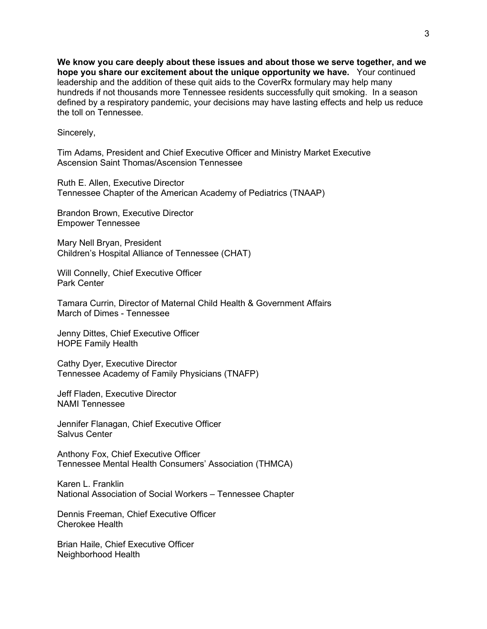**We know you care deeply about these issues and about those we serve together, and we hope you share our excitement about the unique opportunity we have.** Your continued leadership and the addition of these quit aids to the CoverRx formulary may help many hundreds if not thousands more Tennessee residents successfully quit smoking. In a season defined by a respiratory pandemic, your decisions may have lasting effects and help us reduce the toll on Tennessee.

Sincerely,

Tim Adams, President and Chief Executive Officer and Ministry Market Executive Ascension Saint Thomas/Ascension Tennessee

Ruth E. Allen, Executive Director Tennessee Chapter of the American Academy of Pediatrics (TNAAP)

Brandon Brown, Executive Director Empower Tennessee

Mary Nell Bryan, President Children's Hospital Alliance of Tennessee (CHAT)

Will Connelly, Chief Executive Officer Park Center

Tamara Currin, Director of Maternal Child Health & Government Affairs March of Dimes - Tennessee

Jenny Dittes, Chief Executive Officer HOPE Family Health

Cathy Dyer, Executive Director Tennessee Academy of Family Physicians (TNAFP)

Jeff Fladen, Executive Director NAMI Tennessee

Jennifer Flanagan, Chief Executive Officer Salvus Center

Anthony Fox, Chief Executive Officer Tennessee Mental Health Consumers' Association (THMCA)

Karen L. Franklin National Association of Social Workers – Tennessee Chapter

Dennis Freeman, Chief Executive Officer Cherokee Health

Brian Haile, Chief Executive Officer Neighborhood Health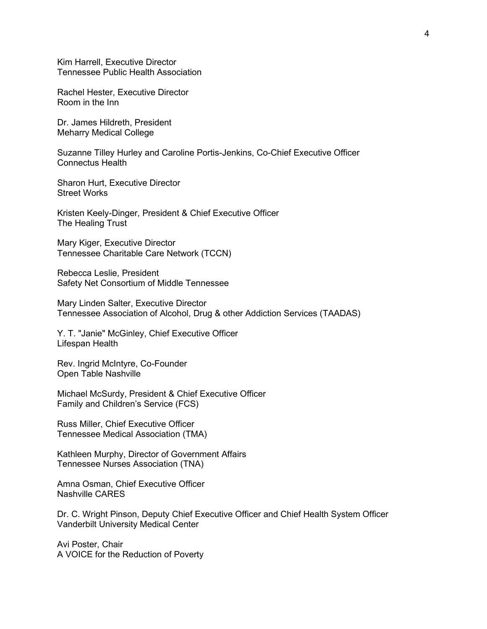Kim Harrell, Executive Director Tennessee Public Health Association

Rachel Hester, Executive Director Room in the Inn

Dr. James Hildreth, President Meharry Medical College

Suzanne Tilley Hurley and Caroline Portis-Jenkins, Co-Chief Executive Officer Connectus Health

Sharon Hurt, Executive Director Street Works

Kristen Keely-Dinger, President & Chief Executive Officer The Healing Trust

Mary Kiger, Executive Director Tennessee Charitable Care Network (TCCN)

Rebecca Leslie, President Safety Net Consortium of Middle Tennessee

Mary Linden Salter, Executive Director Tennessee Association of Alcohol, Drug & other Addiction Services (TAADAS)

Y. T. "Janie" McGinley, Chief Executive Officer Lifespan Health

Rev. Ingrid McIntyre, Co-Founder Open Table Nashville

Michael McSurdy, President & Chief Executive Officer Family and Children's Service (FCS)

Russ Miller, Chief Executive Officer Tennessee Medical Association (TMA)

Kathleen Murphy, Director of Government Affairs Tennessee Nurses Association (TNA)

Amna Osman, Chief Executive Officer Nashville CARES

Dr. C. Wright Pinson, Deputy Chief Executive Officer and Chief Health System Officer Vanderbilt University Medical Center

Avi Poster, Chair A VOICE for the Reduction of Poverty